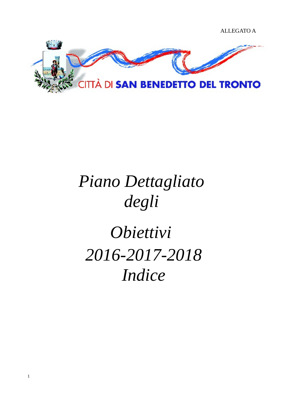

## *Piano Dettagliato degli*

## *Obiettivi 2016-2017-2018 Indice*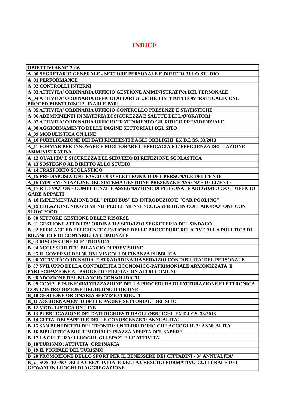### **INDICE**

| OBIETTIVI ANNO 2016                                                                    |
|----------------------------------------------------------------------------------------|
| A 00 SEGRETARIO GENERALE - SETTORE PERSONALE E DIRITTO ALLO STUDIO                     |
| <b>A_01 PERFORMANCE</b>                                                                |
| <b>A_02 CONTROLLI INTERNI</b>                                                          |
| A_03 ATTIVITA' ORDINARIA UFFICIO GESTIONE AMMINISTRATIVA DEL PERSONALE                 |
| A_04 ATTIVITA' ORDINARIA UFFICIO AFFARI GIURIDICI ISTITUTI CONTRATTUALI CCNL           |
| PROCEDIMENTI DISCIPLINARI E PARI                                                       |
| A_05 ATTIVITA' ORDINARIA UFFICIO CONTROLLO PRESENZE E STATISTICHE                      |
| A_06 ADEMPIMENTI IN MATERIA DI SICUREZZA E SALUTE DEI LAVORATORI                       |
| A_07 ATTIVITA' ORDINARIA UFFICIO TRATTAMENTO GIURIDICO PREVIDENZIALE                   |
| A 08 AGGIORNAMENTO DELLE PAGINE SETTORIALI DEL SITO                                    |
| A 09 MODULISTICA ON LINE                                                               |
| A_10 PUBBLICAZIONE DEI DATI RICHIESTI DAGLI OBBLIGHI EX D.LGS. 33/2013                 |
| A 11 FORMAR PER INNOVARE E MIGLIORARE L'EFFICACIA E L'EFFICIENZA DELL'AZIONE           |
| <b>AMMINISTRATIVA</b>                                                                  |
| A_12 QUALITA' E SICUREZZA DEL SERVIZIO DI REFEZIONE SCOLASTICA                         |
| A_13 SOSTEGNO AL DIRITTO ALLO STUDIO                                                   |
| A 14 TRASPORTO SCOLASTICO                                                              |
| A 15 PREDISPOSIZIONE FASCICOLO ELETTRONICO DEL PERSONALE DELL'ENTE                     |
| A_16 IMPLEMENTAZIONE DEL SISTEMA GESTIONE PRESENZE E ASSENZE DELL'ENTE                 |
| A 17 RILEVAZIONE COMPETENZE E ASSEGNAZIONE DI PERSONALE ADEGUATO C/O L'UFFICIO         |
| <b>GARE A PPALTI</b>                                                                   |
| A_18 IMPLEMENTAZIONE DEL "PIEDI BUS" ED INTRODUZIONE "CAR POOLING"                     |
| A 19 CREAZIONE NUOVO MENU' PER LE MENSE SCOLASTICHE IN COLLABORAZIONE CON              |
| <b>SLOW FOOD</b>                                                                       |
| <b>B_00 SETTORE GESTIONE DELLE RISORSE</b>                                             |
| <b>B_01 GESTIONE ATTIVITA' ORDINARIA SERVIZIO SEGRETERIA DEL SINDACO</b>               |
| <b>B_02 EFFICACE ED EFFICIENTE GESTIONE DELLE PROCEDURE RELATIVE ALLA POLI TICA DI</b> |
| <b>BILANCIO E DI CONTABILITÀ COMUNALE</b>                                              |
| <b>B_03 RISCOSSIONE ELETTRONICA</b>                                                    |
| <b>B_04 ACCESSIBILITA' BILANCIO DI PREVISIONE</b>                                      |
| <b>B_05 IL GOVERNO DEI NUOVI VINCOLI DI FINANZA PUBBLICA</b>                           |
| B 06 ATTIVITÀ' ORDINARIA E STRAORDINARIA SERVIZIO CONTABILITA' DEL PERSONALE           |
| B 07 SVILUPPO DELLA CONTABILITÀ ECONOMICO-PATRIMONIALE ARMONIZZATA E                   |
| PARTECIPAZIONE AL PROGETTO PILOTA CON ALTRI COMUNI                                     |
| <b>B_08 ADOZIONE DEL BILANCIO CONSOLIDATO</b>                                          |
| <b>B_09 COMPLETA INFORMATIZZAZIONE DELLA PROCEDURA DI FATTURAZIONE ELETTRONICA</b>     |
| CON L'INTRODUZIONE DEL BUONO D'ORDINE                                                  |
| <b>B_10 GESTIONE ORDINARIA SERVIZIO TRIBUTI</b>                                        |
| <b>B_11 AGGIORNAMENTO DELLE PAGINE SETTORIALI DEL SITO</b>                             |
| <b>B 12 MODULISTICA ON LINE</b>                                                        |
| B_13 PUBBLICAZIONE DEI DATI RICHIESTI DAGLI OBBLIGHI  EX D.LGS. 33/2013                |
| <b>B_14 CITTA' DEI SAPERI E DELLE CONOSCENZE 3° ANNUALITA'</b>                         |
| <b>B_15 SAN BENEDETTO DEL TRONTO: UN TERRITORIO CHE ACCOGLIE 3º ANNUALITA'</b>         |
| <b>B_16 BIBLIOTECA MULTIMEDIALE: PIAZZA APERTA DEL SAPERE</b>                          |
| <b>B_17 LA CULTURA: I LUOGHI, GLI SPAZI E LE ATTIVITA'</b>                             |
| <b>B_18 TURISMO: ATTIVITA' ORDINARIA</b>                                               |
| <b>B_19 IL PORTALE DEL TURISMO</b>                                                     |
| B_20 PROMOZIONE DELLO SPORT PER IL BENESSERE DEI CITTADINI - 3^ ANNUALITA'             |
| B_21 SOSTEGNO DELLA CREATIVITA' E DELLA CRESCITA FORMATIVO-CULTURALE DEI               |
| <b>GIOVANI IN LUOGHI DI AGGREGAZIONE</b>                                               |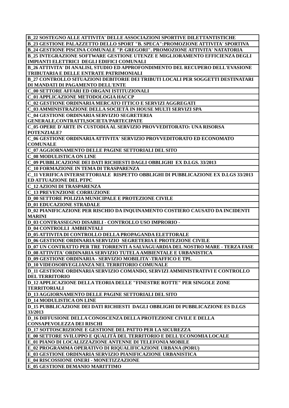**B\_22 SOSTEGNO ALLE ATTIVITA' DELLE ASSOCIAZIONI SPORTIVE DILETTANTISTICHE B\_23 GESTIONE PALAZZETTO DELLO SPORT "B. SPECA":PROMOZIONE ATTIVITA' SPORTIVA**

**B\_24 GESTIONE PISCINA COMUNALE "P. GREGORI". PROMOZIONE ATTIVITA' NATATORIA**

**B\_25 INTEGRAZIONE SOFTWARE GESTIONE UTENZE E MIGLIORAMENTO EFFICIENZA DEGLI IMPIANTI ELETTRICI DEGLI EDIFICI COMUNALI**

**B\_26 ATTIVITA' DI ANALISI, STUDIO ED APPROFONDIMENTO DEL RECUPERO DELL'EVASIONE TRIBUTARIA E DELLE ENTRATE PATRIMONIALI**

**B\_27 CONTROLLO SITUAZIONI DEBITORIE DEI TRIBUTI LOCALI PER SOGGETTI DESTINATARI DI MANDATI DI PAGAMENTO DELL'ENTE**

**C\_00 SETTORE AFFARI ED ORGANI ISTITUZIONALI**

**C\_01 APPLICAZIONE METODOLOGIA HACCP**

**C\_02 GESTIONE ORDINARIA MERCATO ITTICO E SERVIZI AGGREGATI**

**C\_03 AMMINISTRAZIONE DELLA SOCIETÀ IN HOUSE MULTI SERVIZI SPA**

**C\_04 GESTIONE ORDINARIA SERVIZIO SEGRETERIA** 

**GENERALE,CONTRATTI,SOCIETA'PARTECIPATE**

**C\_05 OPERE D'ARTE IN CUSTODIA AL SERVIZIO PROVVEDITORATO: UNA RISORSA POTENZIALE?**

**C\_06 GESTIONE ORDINARIA ATTIVITA' SERVIZIO PROVVEDITORATO ED ECONOMATO COMUNALE**

**C\_07 AGGIORNAMENTO DELLE PAGINE SETTORIALI DEL SITO**

**C\_08 MODULISTICA ON LINE**

**C\_09 PUBBLICAZIONE DEI DATI RICHIESTI DAGLI OBBLIGHI EX D.LGS. 33/2013**

**C\_10 FORMAZIONE IN TEMA DI TRASPARENZA**

**C\_11 VERIFICA INTERSETTORIALE RISPETTO OBBLIGHI DI PUBBLICAZIONE EX D.LGS 33/2013 ED ATTUAZIONE DEL PTPC**

**C\_12 AZIONI DI TRASPARENZA**

**C\_13 PREVENZIONE CORRUZIONE**

**D\_00 SETTORE POLIZIA MUNICIPALE E PROTEZIONE CIVILE**

**D\_01 EDUCAZIONE STRADALE**

**D\_02 PIANIFICAZIONE PER RISCHIO DA INQUINAMENTO COSTIERO CAUSATO DA INCIDENTI MARINI**

**D\_03 CONTRASSEGNO DISABILI - CONTROLLO USO IMPRORIO -**

**D\_04 CONTROLLI AMBIENTALI**

**D\_05 ATTIVITA DI CONTROLLO DELLA PROPAGANDA ELETTORALE**

**D\_06 GESTIONE ORDINARIA SERVIZIO SEGRETERIA E PROTEZIONE CIVILE**

**D\_07 UN CONTRATTO PER TRE TORRENTI A SALVAGUARDIA DEL NOSTRO MARE - TERZA FASE D\_08 ATTIVITA' ORDINARIA SERVIZIO TUTELA AMBIENTALE E URBANISTICA**

**D\_09 GESTIONE ORDINARIA - SERVIZIO MOBILITA'-TRAFFICO E TPL**

**D\_10 VIDEOSORVEGLIANZA NEL TERRITORIO COMUNALE**

**D\_11 GESTIONE ORDINARIA SERVIZIO COMANDO, SERVIZI AMMINISTRATIVI E CONTROLLO DEL TERRITORIO**

**D\_12 APPLICAZIONE DELLA TEORIA DELLE "FINESTRE ROTTE" PER SINGOLE ZONE TERRITORIALI**

**D\_13 AGGIORNAMENTO DELLE PAGINE SETTORIALI DEL SITO**

**D\_14 MODULISTICA ON LINE**

**D\_15 PUBBLICAZIONE DEI DATI RICHIESTI DAGLI OBBLIGHI DI PUBBLICAZIONE ES D.LGS 33/2013**

**D\_16 DIFFUSIONE DELLA CONOSCENZA DELLA PROTEZIONE CIVILE E DELLA CONSAPEVOLEZZA DEI RISCHI**

**D\_17 SOTTOSCRIZIONE E GESTIONE DEL PATTO PER LA SICUREZZA**

**E\_00 SETTORE SVILUPPO E QUALITÀ DEL TERRITORIO E DELL'ECONOMIA LOCALE**

**E\_01 PIANO DI LOCALIZZAZIONE ANTENNE DI TELEFONIA MOBILE**

**E\_02 PROGRAMMA OPERATIVO DI RIQUALIFICAZIONE URBANA (PORU)**

**E\_03 GESTIONE ORDINARIA SERVIZIO PIANIFICAZIONE URBANISTICA**

**E\_04 RISCOSSIONE ONERI - MONETIZZAZIONE**

**E\_05 GESTIONE DEMANIO MARITTIMO**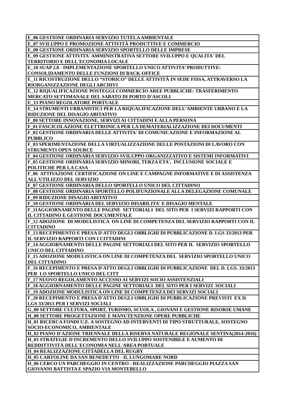**E\_06 GESTIONE ORDINARIA SERVIZIO TUTELA AMBIENTALE**

**E\_07 SVILUPPO E PROMOZIONE ATTIVITÀ PRODUTTIVE E COMMERCIO**

**E\_08 GESTIONE ORDINARIA SERVIZIO SPORTELLO DELLE IMPRESE**

**E\_09 GESTIONE ATTIVITA' AMMINISTRATIVA SETTORE SVILUPPO E QUALITA' DEL TERRITORIO E DELL'ECONOMIA LOCALE**

**E\_10 SUAP 2.0 - IMPLEMENTAZIONE SPORTELLO UNICO ATTIVITA' PRODUTTIVE:** 

**CONSOLIDAMENTO DELLE FUNZIONI DI BACK-OFFICE**

**E\_11 RICOSTRUZIONE DELLO "STORICO" DELLE ATTIVITÀ IN SEDE FISSA, ATTRAVERSO LA RIORGANIZZAZIONE DEGLI ARCHIVI**

**E\_12 RIQUALIFICAZIONE POSTEGGI COMMERCIO AREE PUBBLICHE: TRASFERIMENTO MERCATO SETTIMANALE DEL SABATO DI PORTO D'ASCOLI**

**E\_13 PIANO REGOLATORE PORTUALE**

**E\_14 STRUMENTI URBANISTICI PER LA RIQUALIFICAZIONE DELL'AMBIENTE URBANO E LA RIDUZIONE DEL DISAGIO ABITATIVO**

**F\_00 SETTORE INNOVAZIONE, SERVIZI AI CITTADINI E ALLA PERSONA**

**F\_01 FASCICOLAZIONE ELETTRONICA PER LA DEMATERIALIZZAZIONE DEI DOCUMENTI F\_02 GESTIONE ORDINARIA DELLE ATTIVITA' DI COMUNICAZIONE E INFORMAZIONE AL PUBBLICO**

**F\_03 SPERIMENTAZIONE DELLA VIRTUALIZZAZIONE DELLE POSTAZIONI DI LAVORO CON STRUMENTI OPEN SOURCE**

**F\_04 GESTIONE ORDINARIA SERVIZIO SVILUPPO ORGANIZZATIVO E SISTEMI INFORMATIVI F\_05 GESTIONE ORDINARIA SERVIZIO MINORI, TERZA ETA', INCLUSIONE SOCIALE E POLITICHE PER LA CASA**

**F\_06 ATTIVAZIONE CERTIFICAZIONE ON LINE E CAMPAGNE INFORMATIVE E DI ASSISTENZA ALL'UTILIZZO DEL SERVIZIO**

**F\_07 GESTIONE ORDINARIA DELLO SPORTELLO UNICO DEL CITTADINO**

**F\_08 GESTIONE ORDINARIA SPORTELLO POLIFUNZIONALE ALLA DELEGAZIONE COMUNALE F\_09 RIDUZIONE DISAGIO ABITATIVO**

**F\_10 GESTIONE ORDINARIA DEL SERVIZIO DISABILITA' E DISAGIO MENTALE**

**F\_11AGGIORNAMENTO DELLE PAGINE SETTORIALI DEL SITO PER I SERVIZI RAPPORTI CON IL CITTADINO E GESTIONE DOCUMENTALE**

**F\_12 ADOZIONE DI MODULISTICA ON LINE DI COMPETENZA DEL SERVIZIO RAPPORTI CON IL CITTADINO**

**F\_13 RECEPIMENTO E PRESA D'ATTO DEGLI OBBLIGHI DI PUBBLICAZIONE D. LGS 33/2013 PER IL SERVIZIO RAPPORTI CON I CITTADINI**

**F\_14 AGGIORNAMENTO DELLE PAGINE SETTORIALI DEL SITO PER IL SERVIZIO SPORTELLO UNICO DEL CITTADINO**

**F\_15 ADOZIONE MODULISTICA ON LINE DI COMPETENZA DEL SERVIZIO SPORTELLO UNICO DEL CITTADINO**

**F\_16 RECEPIMENTO E PRESA D'ATTO DEGLI OBBLIGHI DI PUBBLICAZIONE DEL D. LGS. 33/2013 PER LO SPORTELLO UNICO DEL CITT**

**F\_17 NUOVO REGOLAMENTO ACCESSO AI SERVIZI SOCIO ASSISTENZIALI**

**F\_18 AGGIORNAMENTO DELLE PAGINE SETTORIALI DEL SITO PER I SERVIZI SOCIALI F\_19 ADOZIONE MODULISTICA ON LINE DI COMPETENZA DEI SERVIZI SOCIALI**

**F\_20 RECEPIMENTO E PRESA D'ATTO DEGLI OBBLIGHI DI PUBBLICAZIONE PREVISTI EX D. LGS 33/2013 PER I SERVIZI SOCIALI**

**G\_00 SETTORE CULTURA, SPORT, TURISMO, SCUOLA , GIOVANI E GESTIONE RISORSE UMANE H\_00 SETTORE PROGETTAZIONE E MANUTENZIONE OPERE PUBBLICHE**

**H\_01 RICERCA FONDI U.E. A SOSTEGNO AD INTERVENTI DI TIPO STRUTTURALE, SOSTEGNO SOCIO-ECONOMICO, AMBIENTALE**

**H\_02 PIANO D'AZIONE TRIENNALE DELLA RISERVA NATURALE REGIONALE SENTINA(2014-2016) H\_03 STRATEGIE D'INCREMENTO DELLO SVILUPPO SOSTENIBILE E AUMENTO DI** 

**REDDITTIVITÀ DELL'ECONOMIA NELL'AREA PORTUALE H\_04 REALIZZAZIONE CITTADELLA DEL RUGBY**

**H\_05 CARTOLINE DA SAN BENEDETTO - IL LUNGOMARE NORD**

**H\_06 CERCO UN PARCHEGGIO IN CENTRO - REALIZZAZIONE PARCHEGGIO PIAZZA SAN GIOVANNI BATTISTA E SPAZIO VIA MONTEBELLO**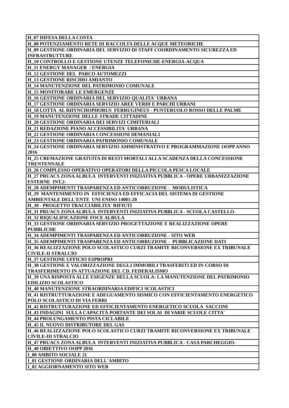**H\_07 DIFESA DELLA COSTA H\_08 POTENZIAMENTO RETE DI RACCOLTA DELLE ACQUE METEORICHE H\_09 GESTIONE ORDINARIA DEL SERVIZIO DI STAFF COORDINAMENTO SICUREZZA ED INFRASTRUTTURE H\_10 CONTROLLO E GESTIONE UTENZE TELEFONICHE-ENERGIA-ACQUA H\_11 ENERGY MANAGER / ENERGIA H\_12 GESTIONE DEL PARCO AUTOMEZZI H\_13 GESTIONE RISCHIO AMIANTO H\_14 MANUTENZIONE DEL PATRIMONIO COMUNALE H\_15 MONITORARE LE EMERGENZE H\_16 GESTIONE ORDINARIA DEL SERVIZIO QUALITA' URBANA H\_17 GESTIONE ORDINARIA SERVIZIO AREE VERDI E PARCHI URBANI H\_18 LOTTA AL RHYNCHOPHORUS FERRUGINEUS - PUNTERUOLO ROSSO DELLE PALME H\_19 MANUTENZIONE DELLE STRADE CITTADINE H\_20 GESTIONE ORDINARIA DEI SERVIZI CIMITERIALI H\_21 REDAZIONE PIANO ACCESSIBILITA' URBANA H\_22 GESTIONE ORDINARIA CONCESSIONI DEMANIALI H\_23 GESTIONE ORDINARIA PATRIMONIO COMUNALE H\_24 GESTIONE ORDINARIA SERVIZIO AMMINISTRATIVO E PROGRAMMAZIONE OOPP ANNO 2016 H\_25 CREMAZIONE GRATUITA DI RESTI MORTALI ALLA SCADENZA DELLA CONCESSIONE TRENTENNALE H\_26 COMPLESSO OPERATIVO OPERATORI DELLA PICCOLA PESCA LOCALE H\_27 PRUACS ZONA ALBULA INTERVENTI INIZIATIVA PUBBLICA - OPERE URBANIZZAZIONE ESTERNE INT.2- H\_28 ADEMPIMENTI TRASPARENZA ED ANTICORRUZIONE - MODULISTICA H\_29 MANTENIMENTO IN EFFICIENZA ED EFFICACIA DEL SISTEMA DI GESTIONE AMBIENTALE DELL'ENTE UNI ENISO 14001:20 H\_30 - PROGETTO TRACCIABILITA' RIFIUTI H\_31 PRUACS ZONA ALBULA INTERVENTI INIZIATIVA PUBBLICA - SCUOLA CASTELLO-H\_32 RIQUALIFICAZIONE FOCE ALBULA H\_33 GESTIONE ORDINARIA SERVIZIO PROGETTAZIONE E REALIZZAZIONE OPERE PUBBLICHE H\_34 ADEMPIMENTI TRASPARENZA ED ANTICORRUZIONE - SITO WEB H\_35 ADEMPIMENTI TRASPARENZA ED ANTICORRUZIONE - PUBBLICAZIONE DATI H\_36 REALIZZAZIONE POLO SCOLASTICO CURZI TRAMITE RICONVERSIONE EX TRIBUNALE CIVILE-II STRALCIO H\_37 GESTIONE UFFICIO ESPROPRI H\_38 GESTIONE E VALORIZZAZIONE DEGLI IMMOBILI TRASFERITI ED IN CORSO DI TRASFERIMENTO IN ATTUAZIONE DEL CD. FEDERALISMO H\_39 UNA RISPOSTA ALLE ESIGENZE DELLA SCUOLA: LA MANUTENZIONE DEL PATRIMONIO EDILIZIO SCOLASTICO H\_40 MANUTENZIONE STRAORDINARIA EDIFICI SCOLASTICI H\_41 RISTRUTTURAZIONE E ADEGUAMENTO SISMICO CON EFFICIENTAMENTO ENERGETICO POLO SCOLASTICO DI VIA FERRI H\_42 RISTRUTTURAZIONE ED EFFICIENTAMENTO ENERGETICO SCUOLA SACCONI H\_43 INDAGINI SULLA CAPACITÀ PORTANTE DEI SOLAI DI VARIE SCUOLE CITTA' H\_44 PROLUNGAMENTO PISTA CICLABILE H\_45 IL NUOVO DISTRIBUTORE DEL GAS H\_46 REALIZZAZIONE POLO SCOLASTICO CURZI TRAMITE RICONVERSIONE EX TRIBUNALE CIVILE-III STRALCIO H\_47 PRUACS ZONA ALBULA INTERVENTI INIZIATIVA PUBBLICA - CASA PARCHEGGIO-H\_48 OBIETTIVO OOPP 2016 I\_00 AMBITO SOCIALE 21 I\_01 GESTIONE ORDINARIA DELL'AMBITO I\_02 AGGIORNAMENTO SITO WEB**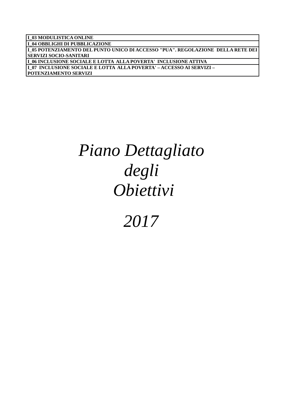| I 04 OBBLIGHI DI PUBBLICAZIONE<br>L05 POTENZIAMENTO DEL PUNTO UNICO DI ACCESSO "PUA". REGOLAZIONE DELLA RETE DEI<br>  SERVIZI SOCIO-SANITARI |
|----------------------------------------------------------------------------------------------------------------------------------------------|
|                                                                                                                                              |
|                                                                                                                                              |
|                                                                                                                                              |
| I 06 INCLUSIONE SOCIALE E LOTTA ALLA POVERTA' INCLUSIONE ATTIVA                                                                              |
| I_07_INCLUSIONE SOCIALE E LOTTA_ALLA POVERTA' – ACCESSO AI SERVIZI –                                                                         |
| <b>POTENZIAMENTO SERVIZI</b>                                                                                                                 |

## *Piano Dettagliato degli Obiettivi*

### *2017*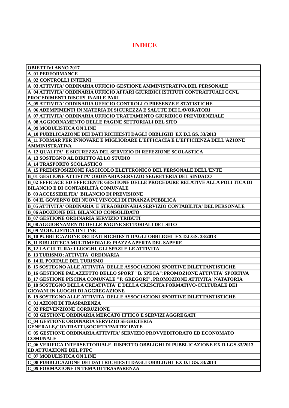### **INDICE**

| <b>OBIETTIVI ANNO 2017</b>                                                             |
|----------------------------------------------------------------------------------------|
| <b>A_01 PERFORMANCE</b>                                                                |
| <b>A_02 CONTROLLI INTERNI</b>                                                          |
| A_03 ATTIVITA' ORDINARIA UFFICIO GESTIONE AMMINISTRATIVA DEL PERSONALE                 |
| A 04 ATTIVITA' ORDINARIA UFFICIO AFFARI GIURIDICI ISTITUTI CONTRATTUALI CCNL           |
| PROCEDIMENTI DISCIPLINARI E PARI                                                       |
| A_05 ATTIVITA' ORDINARIA UFFICIO CONTROLLO PRESENZE E STATISTICHE                      |
| A 06 ADEMPIMENTI IN MATERIA DI SICUREZZA E SALUTE DEI LAVORATORI                       |
| A 07 ATTIVITA' ORDINARIA UFFICIO TRATTAMENTO GIURIDICO PREVIDENZIALE                   |
| A 08 AGGIORNAMENTO DELLE PAGINE SETTORIALI DEL SITO                                    |
| A_09 MODULISTICA ON LINE                                                               |
| A_10 PUBBLICAZIONE DEI DATI RICHIESTI DAGLI OBBLIGHI EX D.LGS. 33/2013                 |
| A_11 FORMAR PER INNOVARE E MIGLIORARE L'EFFICACIA E L'EFFICIENZA DELL'AZIONE           |
| <b>AMMINISTRATIVA</b>                                                                  |
| A_12 QUALITA' E SICUREZZA DEL SERVIZIO DI REFEZIONE SCOLASTICA                         |
| A_13 SOSTEGNO AL DIRITTO ALLO STUDIO                                                   |
| <b>A_14 TRASPORTO SCOLASTICO</b>                                                       |
| A 15 PREDISPOSIZIONE FASCICOLO ELETTRONICO DEL PERSONALE DELL'ENTE                     |
| <b>B_01 GESTIONE ATTIVITA' ORDINARIA SERVIZIO SEGRETERIA DEL SINDACO</b>               |
| <b>B 02 EFFICACE ED EFFICIENTE GESTIONE DELLE PROCEDURE RELATIVE ALLA POLI TICA DI</b> |
| <b>BILANCIO E DI CONTABILITÀ COMUNALE</b>                                              |
| <b>B 03 ACCESSIBILITA' BILANCIO DI PREVISIONE</b>                                      |
| <b>B_04 IL GOVERNO DEI NUOVI VINCOLI DI FINANZA PUBBLICA</b>                           |
| <b>B</b> 05 ATTIVITÀ' ORDINARIA E STRAORDINARIA SERVIZIO CONTABILITA' DEL PERSONALE    |
| <b>B_06 ADOZIONE DEL BILANCIO CONSOLIDATO</b>                                          |
| <b>B_07 GESTIONE ORDINARIA SERVIZIO TRIBUTI</b>                                        |
| <b>B_08 AGGIORNAMENTO DELLE PAGINE SETTORIALI DEL SITO</b>                             |
| <b>B_09 MODULISTICA ON LINE</b>                                                        |
| <b>B_10 PUBBLICAZIONE DEI DATI RICHIESTI DAGLI OBBLIGHI EX D.LGS. 33/2013</b>          |
| <b>B_11 BIBLIOTECA MULTIMEDIALE: PIAZZA APERTA DEL SAPERE</b>                          |
| <b>B_12 LA CULTURA: I LUOGHI, GLI SPAZI E LE ATTIVITA'</b>                             |
| <b>B_13 TURISMO: ATTIVITA' ORDINARIA</b>                                               |
| <b>B_14 IL PORTALE DEL TURISMO</b>                                                     |
| <b>B_15 SOSTEGNO ALLE ATTIVITA' DELLE ASSOCIAZIONI SPORTIVE DILETTANTISTICHE</b>       |
| <b>B_16 GESTIONE PALAZZETTO DELLO SPORT "B. SPECA":PROMOZIONE ATTIVITA' SPORTIVA</b>   |
| <b>B_17 GESTIONE PISCINA COMUNALE "P. GREGORI". PROMOZIONE ATTIVITA' NATATORIA</b>     |
| <b>B_18 SOSTEGNO DELLA CREATIVITA' E DELLA CRESCITA FORMATIVO-CULTURALE DEI</b>        |
| <b>GIOVANI IN LUOGHI DI AGGREGAZIONE</b>                                               |
| <b>B_19 SOSTEGNO ALLE ATTIVITA' DELLE ASSOCIAZIONI SPORTIVE DILETTANTISTICHE</b>       |
| <b>C_01 AZIONI DI TRASPARENZA</b>                                                      |
| <b>C_02 PREVENZIONE CORRUZIONE</b>                                                     |
| C_03 GESTIONE ORDINARIA MERCATO ITTICO E SERVIZI AGGREGATI                             |
| C_04 GESTIONE ORDINARIA SERVIZIO SEGRETERIA                                            |
| GENERALE, CONTRATTI, SOCIETA 'PARTECIPATE                                              |
| C_05 GESTIONE ORDINARIA ATTIVITA' SERVIZIO PROVVEDITORATO ED ECONOMATO                 |
| <b>COMUNALE</b>                                                                        |
| C 06 VERIFICA INTERSETTORIALE RISPETTO OBBLIGHI DI PUBBLICAZIONE EX D.LGS 33/2013      |
| <b>ED ATTUAZIONE DEL PTPC</b>                                                          |
| <b>C_07 MODULISTICA ON LINE</b>                                                        |
| C_08 PUBBLICAZIONE DEI DATI RICHIESTI DAGLI OBBLIGHI EX D.LGS. 33/2013                 |
| C_09 FORMAZIONE IN TEMA DI TRASPARENZA                                                 |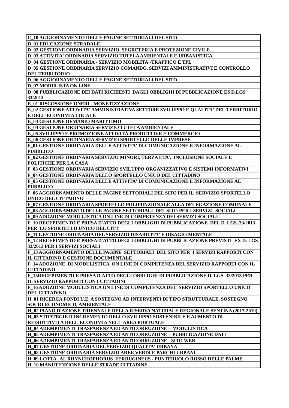**C\_10 AGGIORNAMENTO DELLE PAGINE SETTORIALI DEL SITO**

**D\_01 EDUCAZIONE STRADALE**

**D\_02 GESTIONE ORDINARIA SERVIZIO SEGRETERIA E PROTEZIONE CIVILE**

**D\_03 ATTIVITA' ORDINARIA SERVIZIO TUTELA AMBIENTALE E URBANISTICA**

**D\_04 GESTIONE ORDINARIA - SERVIZIO MOBILITA'-TRAFFICO E TPL**

**D\_05 GESTIONE ORDINARIA SERVIZIO COMANDO, SERVIZI AMMINISTRATIVI E CONTROLLO DEL TERRITORIO**

**D\_06 AGGIORNAMENTO DELLE PAGINE SETTORIALI DEL SITO**

**D\_07 MODULISTA ON LINE**

**D\_08 PUBBLICAZIONE DEI DATI RICHIESTI DAGLI OBBLIGHI DI PUBBLICAZIONE ES D.LGS 33/2013**

**E\_01 RISCOSSIONE ONERI - MONETIZZAZIONE**

**E\_02 GESTIONE ATTIVITA' AMMINISTRATIVA SETTORE SVILUPPO E QUALITA' DEL TERRITORIO E DELL'ECONOMIA LOCALE**

**E\_03 GESTIONE DEMANIO MARITTIMO**

**E\_04 GESTIONE ORDINARIA SERVIZIO TUTELA AMBIENTALE**

**E\_05 SVILUPPO E PROMOZIONE ATTIVITÀ PRODUTTIVE E COMMERCIO**

**E\_06 GESTIONE ORDINARIA SERVIZIO SPORTELLO DELLE IMPRESE**

**F\_01 GESTIONE ORDINARIA DELLE ATTIVITA' DI COMUNICAZIONE E INFORMAZIONE AL PUBBLICO**

**F\_02 GESTIONE ORDINARIA SERVIZIO MINORI, TERZA ETA', INCLUSIONE SOCIALE E POLITICHE PER LA CASA**

**F\_03 GESTIONE ORDINARIA SERVIZIO SVILUPPO ORGANIZZATIVO E SISTEMI INFORMATIVI F\_04 GESTIONE ORDINARIA DELLO SPORTELLO UNICO DEL CITTADINO**

**F\_05 GESTIONE ORDINARIA DELLE ATTIVITA' DI COMUNICAZIONE E INFORMAZIONE AL PUBBLICO**

**F\_06 AGGIORNAMENTO DELLE PAGINE SETTORIALI DEL SITO PER IL SERVIZIO SPORTELLO UNICO DEL CITTADINO**

**F\_07 GESTIONE ORDINARIA SPORTELLO POLIFUNZIONALE ALLA DELEGAZIONE COMUNALE F\_08 AGGIORNAMENTO DELLE PAGINE SETTORIALI DEL SITO PER I SERVIZI SOCIALI**

**F\_09 ADOZIONE MODULISTICA ON LINE DI COMPETENZA DEI SERVIZI SOCIALI**

**F\_10 RECEPIMENTO E PRESA D'ATTO DEGLI OBBLIGHI DI PUBBLICAZIONE DEL D. LGS. 33/2013 PER LO SPORTELLO UNICO DEL CITT**

**F\_11 GESTIONE ORDINARIA DEL SERVIZIO DISABILITA' E DISAGIO MENTALE**

**F\_12 RECEPIMENTO E PRESA D'ATTO DEGLI OBBLIGHI DI PUBBLICAZIONE PREVISTI EX D. LGS 33/2013 PER I SERVIZI SOCIALI**

**F\_13 AGGIORNAMENTO DELLE PAGINE SETTORIALI DEL SITO PER I SERVIZI RAPPORTI CON IL CITTADINO E GESTIONE DOCUMENTALE**

**F\_14 ADOZIONE DI MODULISTICA ON LINE DI COMPETENZA DEL SERVIZIO RAPPORTI CON IL CITTADINO**

**F\_15RECEPIMENTO E PRESA D'ATTO DEGLI OBBLIGHI DI PUBBLICAZIONE D. LGS. 33/2013 PER IL SERVIZIO RAPPORTI CON I CITTADINI**

**F\_16 ADOZIONE MODULISTICA ON LINE DI COMPETENZA DEL SERVIZIO SPORTELLO UNICO DEL CITTADINO**

**H\_01 RICERCA FONDI U.E. A SOSTEGNO AD INTERVENTI DI TIPO STRUTTURALE, SOSTEGNO SOCIO-ECONOMICO, AMBIENTALE**

**H\_02 PIANO D'AZIONE TRIENNALE DELLA RISERVA NATURALE REGIONALE SENTINA (2017-2019) H\_03 STRATEGIE D'INCREMENTO DELLO SVILUPPO SOSTENIBILE E AUMENTO DI** 

**REDDITTIVITÀ DELL'ECONOMIA NELL'AREA PORTUALE**

**H\_04 ADEMPIMENTI TRASPARENZA ED ANTICORRUZIONE - MODULISTICA**

**H\_05 ADEMPIMENTI TRASPARENZA ED ANTICORRUZIONE - PUBBLICAZIONE DATI**

**H\_06 ADEMPIMENTI TRASPARENZA ED ANTICORRUZIONE - SITO WEB H\_07 GESTIONE ORDINARIA DEL SERVIZIO QUALITA' URBANA**

**H\_08 GESTIONE ORDINARIA SERVIZIO AREE VERDI E PARCHI URBANI**

**H\_09 LOTTA AL RHYNCHOPHORUS FERRUGINEUS - PUNTERUOLO ROSSO DELLE PALME**

**H\_10 MANUTENZIONE DELLE STRADE CITTADINE**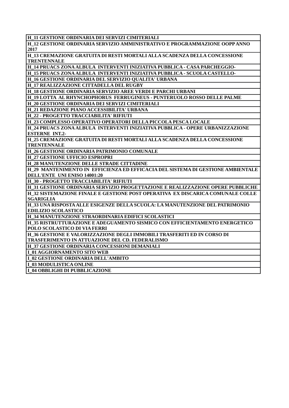**H\_11 GESTIONE ORDINARIA DEI SERVIZI CIMITERIALI**

**H\_12 GESTIONE ORDINARIA SERVIZIO AMMINISTRATIVO E PROGRAMMAZIONE OOPP ANNO 2017**

**H\_13 CREMAZIONE GRATUITA DI RESTI MORTALI ALLA SCADENZA DELLA CONCESSIONE TRENTENNALE**

**H\_14 PRUACS ZONA ALBULA INTERVENTI INIZIATIVA PUBBLICA - CASA PARCHEGGIO-**

**H\_15 PRUACS ZONA ALBULA INTERVENTI INIZIATIVA PUBBLICA - SCUOLA CASTELLO-**

**H\_16 GESTIONE ORDINARIA DEL SERVIZIO QUALITA' URBANA**

**H\_17 REALIZZAZIONE CITTADELLA DEL RUGBY**

**H\_18 GESTIONE ORDINARIA SERVIZIO AREE VERDI E PARCHI URBANI**

**H\_19 LOTTA AL RHYNCHOPHORUS FERRUGINEUS - PUNTERUOLO ROSSO DELLE PALME**

**H\_20 GESTIONE ORDINARIA DEI SERVIZI CIMITERIALI**

**H\_21 REDAZIONE PIANO ACCESSIBILITA' URBANA**

**H\_22 - PROGETTO TRACCIABILITA' RIFIUTI**

**H\_23 COMPLESSO OPERATIVO OPERATORI DELLA PICCOLA PESCA LOCALE**

**H\_24 PRUACS ZONA ALBULA INTERVENTI INIZIATIVA PUBBLICA - OPERE URBANIZZAZIONE ESTERNE INT.2-**

**H\_25 CREMAZIONE GRATUITA DI RESTI MORTALI ALLA SCADENZA DELLA CONCESSIONE TRENTENNALE**

**H\_26 GESTIONE ORDINARIA PATRIMONIO COMUNALE**

**H\_27 GESTIONE UFFICIO ESPROPRI**

**H\_28 MANUTENZIONE DELLE STRADE CITTADINE**

**H\_29 MANTENIMENTO IN EFFICIENZA ED EFFICACIA DEL SISTEMA DI GESTIONE AMBIENTALE DELL'ENTE UNI ENISO 14001:20**

**H\_30 - PROGETTO TRACCIABILITA' RIFIUTI**

**H\_31 GESTIONE ORDINARIA SERVIZIO PROGETTAZIONE E REALIZZAZIONE OPERE PUBBLICHE H\_32 SISTEMAZIONE FINALE E GESTIONE POST OPERATIVA EX DISCARICA COMUNALE COLLE SGARIGLIA**

**H\_33 UNA RISPOSTA ALLE ESIGENZE DELLA SCUOLA: LA MANUTENZIONE DEL PATRIMONIO EDILIZIO SCOLASTICO**

**H\_34 MANUTENZIONE STRAORDINARIA EDIFICI SCOLASTICI**

**H\_35 RISTRUTTURAZIONE E ADEGUAMENTO SISMICO CON EFFICIENTAMENTO ENERGETICO POLO SCOLASTICO DI VIA FERRI**

**H\_36 GESTIONE E VALORIZZAZIONE DEGLI IMMOBILI TRASFERITI ED IN CORSO DI TRASFERIMENTO IN ATTUAZIONE DEL CD. FEDERALISMO**

**H\_37 GESTIONE ORDINARIA CONCESSIONI DEMANIALI**

**I\_01 AGGIORNAMENTO SITO WEB**

**I\_02 GESTIONE ORDINARIA DELL'AMBITO**

**I\_03 MODULISTICA ONLINE**

**I\_04 OBBLIGHI DI PUBBLICAZIONE**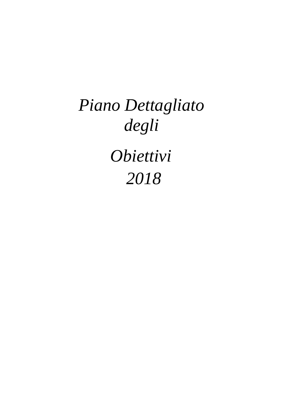# *Piano Dettagliato degli Obiettivi 2018*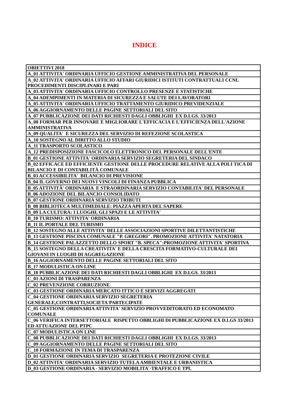### **INDICE**

| <b>OBIETTIVI 2018</b>                                                                  |
|----------------------------------------------------------------------------------------|
| A_01 ATTIVITA' ORDINARIA UFFICIO GESTIONE AMMINISTRATIVA DEL PERSONALE                 |
| A 02 ATTIVITA' ORDINARIA UFFICIO AFFARI GIURIDICI ISTITUTI CONTRATTUALI CCNL           |
| <b>PROCEDIMENTI DISCIPLINARI E PARI</b>                                                |
| A_03 ATTIVITA' ORDINARIA UFFICIO CONTROLLO PRESENZE E STATISTICHE                      |
| A 04 ADEMPIMENTI IN MATERIA DI SICUREZZA E SALUTE DEI LAVORATORI                       |
| A_05 ATTIVITA' ORDINARIA UFFICIO TRATTAMENTO GIURIDICO PREVIDENZIALE                   |
| A 06 AGGIORNAMENTO DELLE PAGINE SETTORIALI DEL SITO                                    |
| A 07 PUBBLICAZIONE DEI DATI RICHIESTI DAGLI OBBLIGHI EX D.LGS. 33/2013                 |
| A 08 FORMAR PER INNOVARE E MIGLIORARE L'EFFICACIA E L'EFFICIENZA DELL'AZIONE           |
| <b>AMMINISTRATIVA</b>                                                                  |
| A 09 QUALITA' E SICUREZZA DEL SERVIZIO DI REFEZIONE SCOLASTICA                         |
| A_10 SOSTEGNO AL DIRITTO ALLO STUDIO                                                   |
| <b>A_11 TRASPORTO SCOLASTICO</b>                                                       |
| A_12 PREDISPOSIZIONE FASCICOLO ELETTRONICO DEL PERSONALE DELL'ENTE                     |
| <b>B_01 GESTIONE ATTIVITA' ORDINARIA SERVIZIO SEGRETERIA DEL SINDACO</b>               |
| <b>B 02 EFFICACE ED EFFICIENTE GESTIONE DELLE PROCEDURE RELATIVE ALLA POLI TICA DI</b> |
| <b>BILANCIO E DI CONTABILITÀ COMUNALE</b>                                              |
| <b>B_03 ACCESSIBILITA' BILANCIO DI PREVISIONE</b>                                      |
| <b>B_04 IL GOVERNO DEI NUOVI VINCOLI DI FINANZA PUBBLICA</b>                           |
| B_05 ATTIVITÀ' ORDINARIA E STRAORDINARIA SERVIZIO CONTABILITA' DEL PERSONALE           |
| <b>B_06 ADOZIONE DEL BILANCIO CONSOLIDATO</b>                                          |
| <b>B_07 GESTIONE ORDINARIA SERVIZIO TRIBUTI</b>                                        |
| <b>B_08 BIBLIOTECA MULTIMEDIALE: PIAZZA APERTA DEL SAPERE</b>                          |
| <b>B_09 LA CULTURA: I LUOGHI, GLI SPAZI E LE ATTIVITA'</b>                             |
| <b>B_10 TURISMO: ATTIVITA' ORDINARIA</b>                                               |
| <b>B_11 IL PORTALE DEL TURISMO</b>                                                     |
| <b>B_12 SOSTEGNO ALLE ATTIVITA' DELLE ASSOCIAZIONI SPORTIVE DILETTANTISTICHE</b>       |
| <b>B_13 GESTIONE PISCINA COMUNALE "P. GREGORI". PROMOZIONE ATTIVITA' NATATORIA</b>     |
| <b>B_14 GESTIONE PALAZZETTO DELLO SPORT "B. SPECA":PROMOZIONE ATTIVITA' SPORTIVA</b>   |
| <b>B_15 SOSTEGNO DELLA CREATIVITA' E DELLA CRESCITA FORMATIVO-CULTURALE DEI</b>        |
| <b>GIOVANI IN LUOGHI DI AGGREGAZIONE</b>                                               |
| <b>B_16 AGGIORNAMENTO DELLE PAGINE SETTORIALI DEL SITO</b>                             |
| <b>B_17 MODULISTICA ON LINE</b>                                                        |
| <b>B_18 PUBBLICAZIONE DEI DATI RICHIESTI DAGLI OBBLIGHI EX D.LGS. 33/2013</b>          |
| <b>C_01 AZIONI DI TRASPARENZA</b>                                                      |
| <b>C_02 PREVENZIONE CORRUZIONE</b>                                                     |
| C_03 GESTIONE ORDINARIA MERCATO ITTICO E SERVIZI AGGREGATI                             |
| C_04 GESTIONE ORDINARIA SERVIZIO SEGRETERIA                                            |
| GENERALE, CONTRATTI, SOCIETA 'PARTECIPATE                                              |
| C_05 GESTIONE ORDINARIA ATTIVITA' SERVIZIO PROVVEDITORATO ED ECONOMATO                 |
| <b>COMUNALE</b>                                                                        |
| C 06 VERIFICA INTERSETTORIALE RISPETTO OBBLIGHI DI PUBBLICAZIONE EX D.LGS 33/2013      |
| <b>ED ATTUAZIONE DEL PTPC</b>                                                          |
| <b>C_07 MODULISTICA ON LINE</b>                                                        |
| C_08 PUBBLICAZIONE DEI DATI RICHIESTI DAGLI OBBLIGHI EX D.LGS. 33/2013                 |
| C_09 AGGIORNAMENTO DELLE PAGINE SETTORIALI DEL SITO                                    |
| C_10 FORMAZIONE IN TEMA DI TRASPARENZA                                                 |
| D_01 GESTIONE ORDINARIA SERVIZIO SEGRETERIA E PROTEZIONE CIVILE                        |
| D_02 ATTIVITA' ORDINARIA SERVIZIO TUTELA AMBIENTALE E URBANISTICA                      |
| <b>D_03 GESTIONE ORDINARIA - SERVIZIO MOBILITA'-TRAFFICO E TPL</b>                     |
|                                                                                        |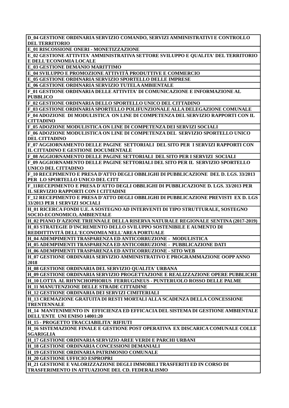**D\_04 GESTIONE ORDINARIA SERVIZIO COMANDO, SERVIZI AMMINISTRATIVI E CONTROLLO DEL TERRITORIO E\_01 RISCOSSIONE ONERI - MONETIZZAZIONE E\_02 GESTIONE ATTIVITA' AMMINISTRATIVA SETTORE SVILUPPO E QUALITA' DEL TERRITORIO E DELL'ECONOMIA LOCALE E\_03 GESTIONE DEMANIO MARITTIMO E\_04 SVILUPPO E PROMOZIONE ATTIVITÀ PRODUTTIVE E COMMERCIO E\_05 GESTIONE ORDINARIA SERVIZIO SPORTELLO DELLE IMPRESE E\_06 GESTIONE ORDINARIA SERVIZIO TUTELA AMBIENTALE F\_01 GESTIONE ORDINARIA DELLE ATTIVITA' DI COMUNICAZIONE E INFORMAZIONE AL PUBBLICO F\_02 GESTIONE ORDINARIA DELLO SPORTELLO UNICO DEL CITTADINO F\_03 GESTIONE ORDINARIA SPORTELLO POLIFUNZIONALE ALLA DELEGAZIONE COMUNALE F\_04 ADOZIONE DI MODULISTICA ON LINE DI COMPETENZA DEL SERVIZIO RAPPORTI CON IL CITTADINO F\_05 ADOZIONE MODULISTICA ON LINE DI COMPETENZA DEI SERVIZI SOCIALI F\_06 ADOZIONE MODULISTICA ON LINE DI COMPETENZA DEL SERVIZIO SPORTELLO UNICO DEL CITTADINO F\_07 AGGIORNAMENTO DELLE PAGINE SETTORIALI DEL SITO PER I SERVIZI RAPPORTI CON IL CITTADINO E GESTIONE DOCUMENTALE F\_08 AGGIORNAMENTO DELLE PAGINE SETTORIALI DEL SITO PER I SERVIZI SOCIALI F\_09 AGGIORNAMENTO DELLE PAGINE SETTORIALI DEL SITO PER IL SERVIZIO SPORTELLO UNICO DEL CITTADINO F\_10 RECEPIMENTO E PRESA D'ATTO DEGLI OBBLIGHI DI PUBBLICAZIONE DEL D. LGS. 33/2013 PER LO SPORTELLO UNICO DEL CITT F\_11RECEPIMENTO E PRESA D'ATTO DEGLI OBBLIGHI DI PUBBLICAZIONE D. LGS. 33/2013 PER IL SERVIZIO RAPPORTI CON I CITTADINI F\_12 RECEPIMENTO E PRESA D'ATTO DEGLI OBBLIGHI DI PUBBLICAZIONE PREVISTI EX D. LGS 33/2013 PER I SERVIZI SOCIALI H\_01 RICERCA FONDI U.E. A SOSTEGNO AD INTERVENTI DI TIPO STRUTTURALE, SOSTEGNO SOCIO-ECONOMICO, AMBIENTALE H\_02 PIANO D'AZIONE TRIENNALE DELLA RISERVA NATURALE REGIONALE SENTINA (2017-2019) H\_03 STRATEGIE D'INCREMENTO DELLO SVILUPPO SOSTENIBILE E AUMENTO DI REDDITTIVITÀ DELL'ECONOMIA NELL'AREA PORTUALE H\_04 ADEMPIMENTI TRASPARENZA ED ANTICORRUZIONE - MODULISTICA H\_05 ADEMPIMENTI TRASPARENZA ED ANTICORRUZIONE - PUBBLICAZIONE DATI H\_06 ADEMPIMENTI TRASPARENZA ED ANTICORRUZIONE - SITO WEB H\_07 GESTIONE ORDINARIA SERVIZIO AMMINISTRATIVO E PROGRAMMAZIONE OOPP ANNO 2018 H\_08 GESTIONE ORDINARIA DEL SERVIZIO QUALITA' URBANA H\_09 GESTIONE ORDINARIA SERVIZIO PROGETTAZIONE E REALIZZAZIONE OPERE PUBBLICHE H\_10 LOTTA AL RHYNCHOPHORUS FERRUGINEUS - PUNTERUOLO ROSSO DELLE PALME H\_11 MANUTENZIONE DELLE STRADE CITTADINE H\_12 GESTIONE ORDINARIA DEI SERVIZI CIMITERIALI H\_13 CREMAZIONE GRATUITA DI RESTI MORTALI ALLA SCADENZA DELLA CONCESSIONE TRENTENNALE H\_14 MANTENIMENTO IN EFFICIENZA ED EFFICACIA DEL SISTEMA DI GESTIONE AMBIENTALE DELL'ENTE UNI ENISO 14001:20 H\_15 - PROGETTO TRACCIABILITA' RIFIUTI H\_16 SISTEMAZIONE FINALE E GESTIONE POST OPERATIVA EX DISCARICA COMUNALE COLLE SGARIGLIA H\_17 GESTIONE ORDINARIA SERVIZIO AREE VERDI E PARCHI URBANI H\_18 GESTIONE ORDINARIA CONCESSIONI DEMANIALI H\_19 GESTIONE ORDINARIA PATRIMONIO COMUNALE H\_20 GESTIONE UFFICIO ESPROPRI H\_21 GESTIONE E VALORIZZAZIONE DEGLI IMMOBILI TRASFERITI ED IN CORSO DI TRASFERIMENTO IN ATTUAZIONE DEL CD. FEDERALISMO**